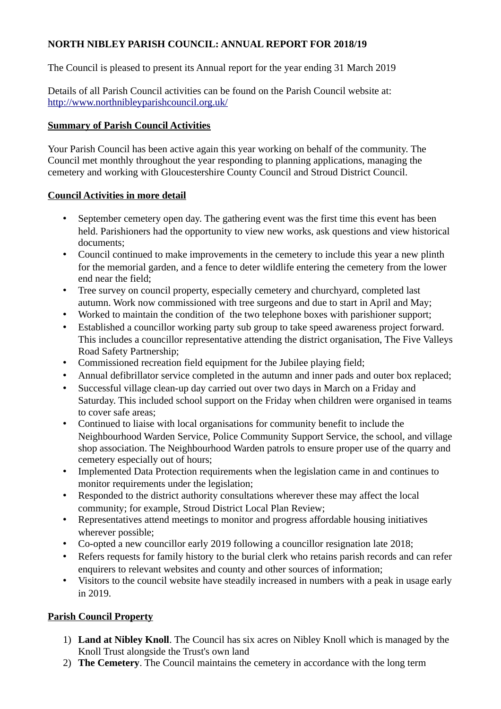## **NORTH NIBLEY PARISH COUNCIL: ANNUAL REPORT FOR 2018/19**

The Council is pleased to present its Annual report for the year ending 31 March 2019

Details of all Parish Council activities can be found on the Parish Council website at: <http://www.northnibleyparishcouncil.org.uk/>

## **Summary of Parish Council Activities**

Your Parish Council has been active again this year working on behalf of the community. The Council met monthly throughout the year responding to planning applications, managing the cemetery and working with Gloucestershire County Council and Stroud District Council.

## **Council Activities in more detail**

- September cemetery open day. The gathering event was the first time this event has been held. Parishioners had the opportunity to view new works, ask questions and view historical documents;
- Council continued to make improvements in the cemetery to include this year a new plinth for the memorial garden, and a fence to deter wildlife entering the cemetery from the lower end near the field;
- Tree survey on council property, especially cemetery and churchyard, completed last autumn. Work now commissioned with tree surgeons and due to start in April and May;
- Worked to maintain the condition of the two telephone boxes with parishioner support;
- Established a councillor working party sub group to take speed awareness project forward. This includes a councillor representative attending the district organisation, The Five Valleys Road Safety Partnership;
- Commissioned recreation field equipment for the Jubilee playing field;
- Annual defibrillator service completed in the autumn and inner pads and outer box replaced;
- Successful village clean-up day carried out over two days in March on a Friday and Saturday. This included school support on the Friday when children were organised in teams to cover safe areas;
- Continued to liaise with local organisations for community benefit to include the Neighbourhood Warden Service, Police Community Support Service, the school, and village shop association. The Neighbourhood Warden patrols to ensure proper use of the quarry and cemetery especially out of hours;
- Implemented Data Protection requirements when the legislation came in and continues to monitor requirements under the legislation;
- Responded to the district authority consultations wherever these may affect the local community; for example, Stroud District Local Plan Review;
- Representatives attend meetings to monitor and progress affordable housing initiatives wherever possible;
- Co-opted a new councillor early 2019 following a councillor resignation late 2018;
- Refers requests for family history to the burial clerk who retains parish records and can refer enquirers to relevant websites and county and other sources of information;
- Visitors to the council website have steadily increased in numbers with a peak in usage early in 2019.

# **Parish Council Property**

- 1) **Land at Nibley Knoll**. The Council has six acres on Nibley Knoll which is managed by the Knoll Trust alongside the Trust's own land
- 2) **The Cemetery**. The Council maintains the cemetery in accordance with the long term